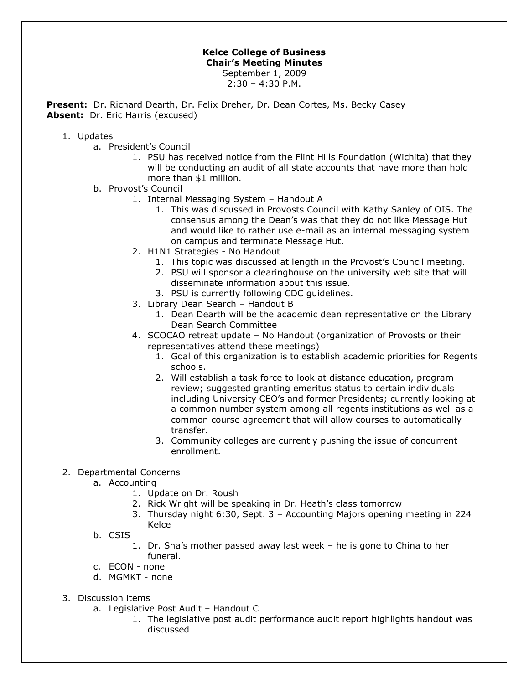## **Kelce College of Business Chair's Meeting Minutes** September 1, 2009

 $2:30 - 4:30$  P.M.

**Present:** Dr. Richard Dearth, Dr. Felix Dreher, Dr. Dean Cortes, Ms. Becky Casey Absent: Dr. Eric Harris (excused)

## 1. Updates

- a. President's Council
	- 1. PSU has received notice from the Flint Hills Foundation (Wichita) that they will be conducting an audit of all state accounts that have more than hold more than \$1 million.
- b. Provost's Council
	- 1. Internal Messaging System Handout A
		- 1. This was discussed in Provosts Council with Kathy Sanley of OIS. The consensus among the Dean's was that they do not like Message Hut and would like to rather use e-mail as an internal messaging system on campus and terminate Message Hut.
	- 2. H1N1 Strategies No Handout
		- 1. This topic was discussed at length in the Provost's Council meeting.
		- 2. PSU will sponsor a clearinghouse on the university web site that will disseminate information about this issue.
		- 3. PSU is currently following CDC guidelines.
	- 3. Library Dean Search Handout B
		- 1. Dean Dearth will be the academic dean representative on the Library Dean Search Committee
	- 4. SCOCAO retreat update No Handout (organization of Provosts or their representatives attend these meetings)
		- 1. Goal of this organization is to establish academic priorities for Regents schools.
		- 2. Will establish a task force to look at distance education, program review; suggested granting emeritus status to certain individuals including University CEO's and former Presidents; currently looking at a common number system among all regents institutions as well as a common course agreement that will allow courses to automatically transfer.
		- 3. Community colleges are currently pushing the issue of concurrent enrollment.

## 2. Departmental Concerns

- a. Accounting
	- 1. Update on Dr. Roush
	- 2. Rick Wright will be speaking in Dr. Heath's class tomorrow
	- 3. Thursday night 6:30, Sept. 3 Accounting Majors opening meeting in 224 Kelce
- b. CSIS
	- 1. Dr. Sha's mother passed away last week he is gone to China to her funeral.
- c. ECON none
- d. MGMKT none
- 3. Discussion items
	- a. Legislative Post Audit Handout C
		- 1. The legislative post audit performance audit report highlights handout was discussed